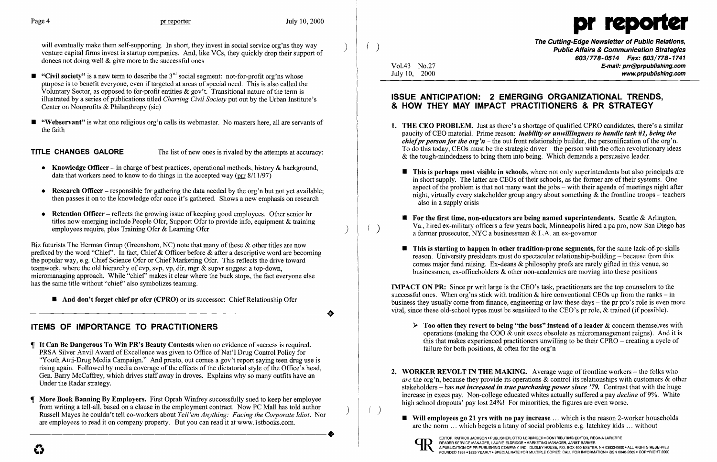will eventually make them self-supporting. In short, they invest in social service org'ns they way venture capital firms invest is startup companies. And, like VCs, they quickly drop their support of donees not doing well  $\&$  give more to the successful ones

- **•** "Civil society" is a new term to describe the  $3^{rd}$  social segment: not-for-profit org'ns whose purpose is to benefit everyone, even if targeted at areas of special need. This is also called the Voluntary Sector, as opposed to for-profit entities  $\&$  gov't. Transitional nature of the term is illustrated by a series of publications titled *Charting Civil Society* put out by the Urban Institute's Center on Nonprofits & Philanthropy (sic)
- "Webservant" is what one religious org'n calls its webmaster. No masters here, all are servants of the faith

**TITLE CHANGES GALORE** The list of new ones is rivaled by the attempts at accuracy:

- Knowledge Officer in charge of best practices, operational methods, history  $\&$  background, data that workers need to know to do things in the accepted way (prr  $8/11/97$ )
- **Research Officer** responsible for gathering the data needed by the org'n but not yet available; then passes it on to the knowledge ofcr once it's gathered. Shows a new emphasis on research
- **Retention Officer** reflects the growing issue of keeping good employees. Other senior hr titles now emerging include People Ofcr, Support Ofcr to provide info, equipment & training employees require, plus Training Ofcr & Learning Ofcr

Biz futurists The Herman Group (Greensboro, NC) note that many of these & other titles are now prefixed by the word "Chief'. In fact, Chief & Officer before & after a descriptive word are becoming the popular way, e.g. Chief Science Ofcr or Chief Marketing Ofcr. This reflects the drive toward teamwork, where the old hierarchy of evp, svp, vp, dir, mgr & supvr suggest a top-down, micromanaging approach. While "chief" makes it clear where the buck stops, the fact everyone else has the same title without "chief' also symbolizes teaming.

**And don't forget chief pr ofcr (CPRO)** or its successor: Chief Relationship Ofcr And don't forget chief pr ofcr (CPRO) or its successor: Chief Relationship Ofcr

- & the tough-mindedness to bring them into being. Which demands a persuasive leader.
	- $-$  also in a supply crisis
	-
	-

# ITEMS OF IMPORTANCE TO PRACTITIONERS

- **If It Can Be Dangerous To Win PR's Beauty Contests** when no evidence of success is required. PRSA Silver Anvil Award of Excellence was given to Office of Nat'l Drug Control Policy for "Youth Anti-Drug Media Campaign." And presto, out comes a gov't report saying teen drug use is rising again. Followed by media coverage of the effects of the dictatorial style of the Office's head, Gen. Barry McCaffrey, which drives staff away in droves. Explains why so many outfits have an Under the Radar strategy.
- **The More Book Banning By Employers.** First Oprah Winfrey successfully sued to keep her employee<br>
from writing a tell-all, based on a clause in the employment contract. Now PC Mall has told author<br>
Russell Mayes he couldn' Russell Mayes he couldn't tell co-workers about Tell'em Anything: Facing the Corporate Idiot. Nor

 $\blacksquare$  This is starting to happen in other tradition-prone segments, for the same lack-of-pr-skills reason. University presidents must do spectacular relationship-building – because from this comes major fund raising. Ex-deans & philosophy profs are rarely gifted in this venue, so businessmen, ex-officeholders & other non-academics are moving into these positions

 $\triangleright$  Too often they revert to being "the boss" instead of a leader & concern themselves with operations (making the COO  $\&$  unit execs obsolete as micromanagement reigns). And it is this that makes experienced practitioners unwilling to be their CPRO - creating a cycle of

 $\blacksquare$  Will employees go 21 yrs with no pay increase ... which is the reason 2-worker households are the norm  $\ldots$  which begets a litany of social problems e.g. latchkey kids  $\ldots$  without



The Cutting-Edge Newsletter of Public Relations,<br>Public Affairs & Communication Strategies *603/778-0514 Fax: 603/778-1741*  Vol.43 No.27 **E-mail: prr@prpublishing.com**<br>July 10, 2000 www.prpublishing.com

1. THE CEO PROBLEM. Just as there's a shortage of qualified CPRO candidates, there's a similar paucity of CEO material. Prime reason: *inability or unwillingness to handle task* #1, *being the chief pr person for the org'n* – the out front relationship builder, the personification of the org'n. To do this today, CEOs must be the strategic driver – the person with the often revolutionary ideas

 $\blacksquare$  This is perhaps most visible in schools, where not only superintendents but also principals are in short supply. The latter are CEOs of their schools, as the former are of their systems. One aspect of the problem is that not many want the jobs – with their agenda of meetings night after night, virtually every stakeholder group angry about something  $\&$  the frontline troops – teachers

 $\blacksquare$  For the first time, non-educators are being named superintendents. Seattle & Arlington, Va., hired ex-military officers a few years back, Minneapolis hired a pa pro, now San Diego has a former prosecutor, NYC a businessman & L.A. an ex-governor

# ISSUE ANTICIPATION: 2 EMERGING ORGANIZATIONAL TRENDS, & HOW THEY MAY IMPACT PRACTITIONERS & PR STRATEGY

IMPACT ON PR: Since pr writ large is the CEO's task, practitioners are the top counselors to the successful ones. When org'ns stick with tradition  $\&$  hire conventional CEOs up from the ranks – in business they usually come from finance, engineering or law these days  $-$  the pr pro's role is even more vital, since these old-school types must be sensitized to the CEO's pr role, & trained (if possible).

failure for both positions, & often for the org'n

2. WORKER REVOLT IN THE MAKING. Average wage of frontline workers  $-$  the folks who *are* the org'n, because they provide its operations & control its relationships with customers & other stakeholders – has *not increased in true purchasing power since* '79. Contrast that with the huge